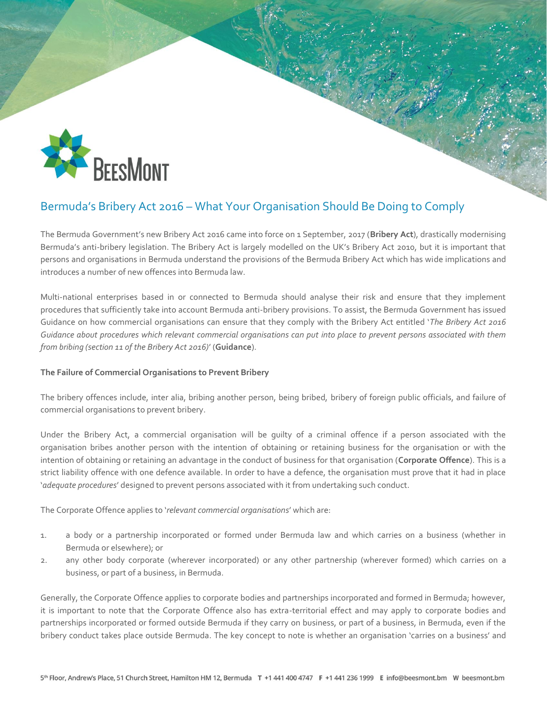

# Bermuda's Bribery Act 2016 – What Your Organisation Should Be Doing to Comply

The Bermuda Government's new Bribery Act 2016 came into force on 1 September, 2017 (**Bribery Act**), drastically modernising Bermuda's anti-bribery legislation. The Bribery Act is largely modelled on the UK's Bribery Act 2010, but it is important that persons and organisations in Bermuda understand the provisions of the Bermuda Bribery Act which has wide implications and introduces a number of new offences into Bermuda law.

Multi-national enterprises based in or connected to Bermuda should analyse their risk and ensure that they implement procedures that sufficiently take into account Bermuda anti-bribery provisions. To assist, the Bermuda Government has issued Guidance on how commercial organisations can ensure that they comply with the Bribery Act entitled '*The Bribery Act 2016 Guidance about procedures which relevant commercial organisations can put into place to prevent persons associated with them from bribing (section 11 of the Bribery Act 2016)*' (**Guidance**).

# **The Failure of Commercial Organisations to Prevent Bribery**

The bribery offences include, inter alia, bribing another person, being bribed, bribery of foreign public officials, and failure of commercial organisations to prevent bribery.

Under the Bribery Act, a commercial organisation will be guilty of a criminal offence if a person associated with the organisation bribes another person with the intention of obtaining or retaining business for the organisation or with the intention of obtaining or retaining an advantage in the conduct of business for that organisation (**Corporate Offence**). This is a strict liability offence with one defence available. In order to have a defence, the organisation must prove that it had in place '*adequate procedures*' designed to prevent persons associated with it from undertaking such conduct.

The Corporate Offence applies to '*relevant commercial organisations*' which are:

- 1. a body or a partnership incorporated or formed under Bermuda law and which carries on a business (whether in Bermuda or elsewhere); or
- 2. any other body corporate (wherever incorporated) or any other partnership (wherever formed) which carries on a business, or part of a business, in Bermuda.

Generally, the Corporate Offence applies to corporate bodies and partnerships incorporated and formed in Bermuda; however, it is important to note that the Corporate Offence also has extra-territorial effect and may apply to corporate bodies and partnerships incorporated or formed outside Bermuda if they carry on business, or part of a business, in Bermuda, even if the bribery conduct takes place outside Bermuda. The key concept to note is whether an organisation 'carries on a business' and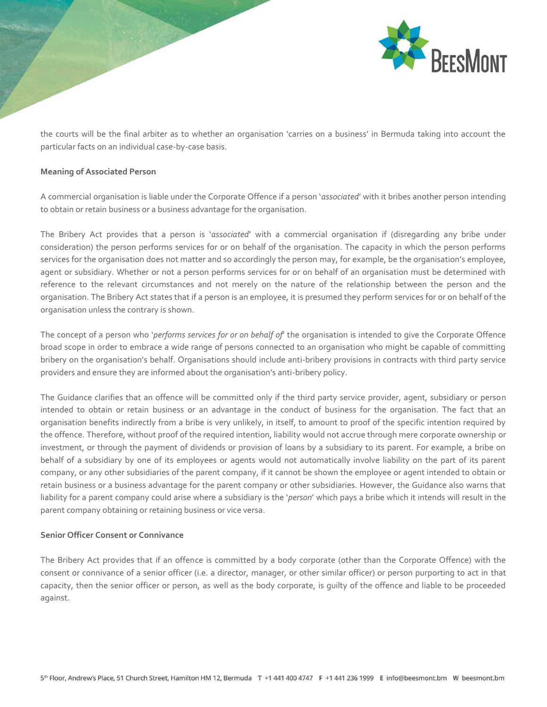

the courts will be the final arbiter as to whether an organisation 'carries on a business' in Bermuda taking into account the particular facts on an individual case-by-case basis.

# **Meaning of Associated Person**

A commercial organisation is liable under the Corporate Offence if a person '*associated*' with it bribes another person intending to obtain or retain business or a business advantage for the organisation.

The Bribery Act provides that a person is '*associated*' with a commercial organisation if (disregarding any bribe under consideration) the person performs services for or on behalf of the organisation. The capacity in which the person performs services for the organisation does not matter and so accordingly the person may, for example, be the organisation's employee, agent or subsidiary. Whether or not a person performs services for or on behalf of an organisation must be determined with reference to the relevant circumstances and not merely on the nature of the relationship between the person and the organisation. The Bribery Act states that if a person is an employee, it is presumed they perform services for or on behalf of the organisation unless the contrary is shown.

The concept of a person who '*performs services for or on behalf of*' the organisation is intended to give the Corporate Offence broad scope in order to embrace a wide range of persons connected to an organisation who might be capable of committing bribery on the organisation's behalf. Organisations should include anti-bribery provisions in contracts with third party service providers and ensure they are informed about the organisation's anti-bribery policy.

The Guidance clarifies that an offence will be committed only if the third party service provider, agent, subsidiary or person intended to obtain or retain business or an advantage in the conduct of business for the organisation. The fact that an organisation benefits indirectly from a bribe is very unlikely, in itself, to amount to proof of the specific intention required by the offence. Therefore, without proof of the required intention, liability would not accrue through mere corporate ownership or investment, or through the payment of dividends or provision of loans by a subsidiary to its parent. For example, a bribe on behalf of a subsidiary by one of its employees or agents would not automatically involve liability on the part of its parent company, or any other subsidiaries of the parent company, if it cannot be shown the employee or agent intended to obtain or retain business or a business advantage for the parent company or other subsidiaries. However, the Guidance also warns that liability for a parent company could arise where a subsidiary is the '*person*' which pays a bribe which it intends will result in the parent company obtaining or retaining business or vice versa.

# **Senior Officer Consent or Connivance**

The Bribery Act provides that if an offence is committed by a body corporate (other than the Corporate Offence) with the consent or connivance of a senior officer (i.e. a director, manager, or other similar officer) or person purporting to act in that capacity, then the senior officer or person, as well as the body corporate, is guilty of the offence and liable to be proceeded against.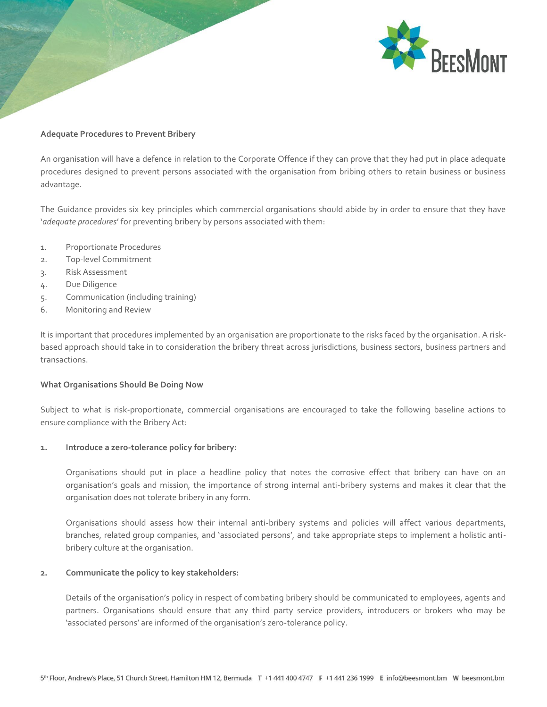

## **Adequate Procedures to Prevent Bribery**

An organisation will have a defence in relation to the Corporate Offence if they can prove that they had put in place adequate procedures designed to prevent persons associated with the organisation from bribing others to retain business or business advantage.

The Guidance provides six key principles which commercial organisations should abide by in order to ensure that they have '*adequate procedures*' for preventing bribery by persons associated with them:

- 1. Proportionate Procedures
- 2. Top-level Commitment
- 3. Risk Assessment
- 4. Due Diligence
- 5. Communication (including training)
- 6. Monitoring and Review

It is important that procedures implemented by an organisation are proportionate to the risks faced by the organisation. A riskbased approach should take in to consideration the bribery threat across jurisdictions, business sectors, business partners and transactions.

#### **What Organisations Should Be Doing Now**

Subject to what is risk-proportionate, commercial organisations are encouraged to take the following baseline actions to ensure compliance with the Bribery Act:

#### **1. Introduce a zero-tolerance policy for bribery:**

Organisations should put in place a headline policy that notes the corrosive effect that bribery can have on an organisation's goals and mission, the importance of strong internal anti-bribery systems and makes it clear that the organisation does not tolerate bribery in any form.

Organisations should assess how their internal anti-bribery systems and policies will affect various departments, branches, related group companies, and 'associated persons', and take appropriate steps to implement a holistic antibribery culture at the organisation.

#### **2. Communicate the policy to key stakeholders:**

Details of the organisation's policy in respect of combating bribery should be communicated to employees, agents and partners. Organisations should ensure that any third party service providers, introducers or brokers who may be 'associated persons' are informed of the organisation's zero-tolerance policy.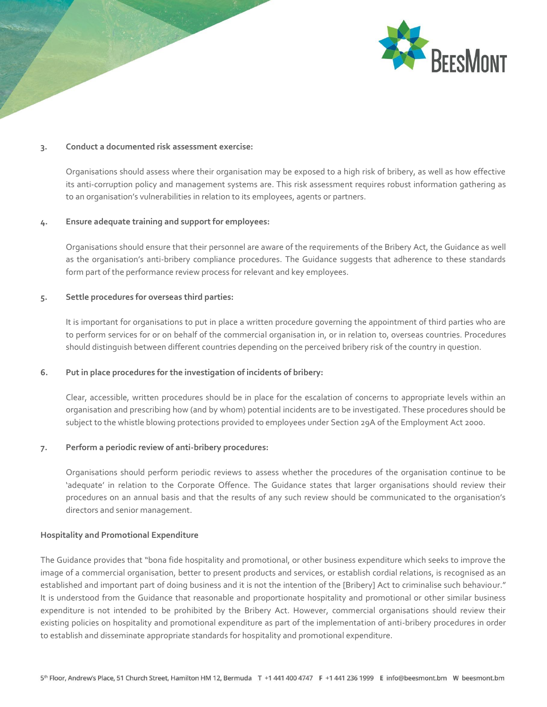

#### **3. Conduct a documented risk assessment exercise:**

Organisations should assess where their organisation may be exposed to a high risk of bribery, as well as how effective its anti-corruption policy and management systems are. This risk assessment requires robust information gathering as to an organisation's vulnerabilities in relation to its employees, agents or partners.

## **4. Ensure adequate training and support for employees:**

Organisations should ensure that their personnel are aware of the requirements of the Bribery Act, the Guidance as well as the organisation's anti-bribery compliance procedures. The Guidance suggests that adherence to these standards form part of the performance review process for relevant and key employees.

#### **5. Settle procedures for overseas third parties:**

It is important for organisations to put in place a written procedure governing the appointment of third parties who are to perform services for or on behalf of the commercial organisation in, or in relation to, overseas countries. Procedures should distinguish between different countries depending on the perceived bribery risk of the country in question.

#### **6. Put in place procedures for the investigation of incidents of bribery:**

Clear, accessible, written procedures should be in place for the escalation of concerns to appropriate levels within an organisation and prescribing how (and by whom) potential incidents are to be investigated. These procedures should be subject to the whistle blowing protections provided to employees under Section 29A of the Employment Act 2000.

## **7. Perform a periodic review of anti-bribery procedures:**

Organisations should perform periodic reviews to assess whether the procedures of the organisation continue to be 'adequate' in relation to the Corporate Offence. The Guidance states that larger organisations should review their procedures on an annual basis and that the results of any such review should be communicated to the organisation's directors and senior management.

#### **Hospitality and Promotional Expenditure**

The Guidance provides that "bona fide hospitality and promotional, or other business expenditure which seeks to improve the image of a commercial organisation, better to present products and services, or establish cordial relations, is recognised as an established and important part of doing business and it is not the intention of the [Bribery] Act to criminalise such behaviour." It is understood from the Guidance that reasonable and proportionate hospitality and promotional or other similar business expenditure is not intended to be prohibited by the Bribery Act. However, commercial organisations should review their existing policies on hospitality and promotional expenditure as part of the implementation of anti-bribery procedures in order to establish and disseminate appropriate standards for hospitality and promotional expenditure.